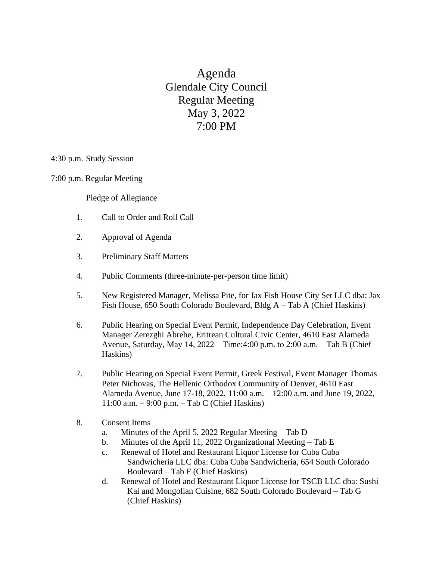Agenda Glendale City Council Regular Meeting May 3, 2022 7:00 PM

## 4:30 p.m. Study Session

7:00 p.m. Regular Meeting

Pledge of Allegiance

- 1. Call to Order and Roll Call
- 2. Approval of Agenda
- 3. Preliminary Staff Matters
- 4. Public Comments (three-minute-per-person time limit)
- 5. New Registered Manager, Melissa Pite, for Jax Fish House City Set LLC dba: Jax Fish House, 650 South Colorado Boulevard, Bldg A – Tab A (Chief Haskins)
- 6. Public Hearing on Special Event Permit, Independence Day Celebration, Event Manager Zerezghi Abrehe, Eritrean Cultural Civic Center, 4610 East Alameda Avenue, Saturday, May 14, 2022 – Time:4:00 p.m. to 2:00 a.m. – Tab B (Chief Haskins)
- 7. Public Hearing on Special Event Permit, Greek Festival, Event Manager Thomas Peter Nichovas, The Hellenic Orthodox Community of Denver, 4610 East Alameda Avenue, June 17-18, 2022, 11:00 a.m. – 12:00 a.m. and June 19, 2022, 11:00 a.m. – 9:00 p.m. – Tab C (Chief Haskins)
- 8. Consent Items
	- a. Minutes of the April 5, 2022 Regular Meeting Tab D
	- b. Minutes of the April 11, 2022 Organizational Meeting Tab E
	- c. Renewal of Hotel and Restaurant Liquor License for Cuba Cuba Sandwicheria LLC dba: Cuba Cuba Sandwicheria, 654 South Colorado Boulevard – Tab F (Chief Haskins)
	- d. Renewal of Hotel and Restaurant Liquor License for TSCB LLC dba: Sushi Kai and Mongolian Cuisine, 682 South Colorado Boulevard – Tab G (Chief Haskins)